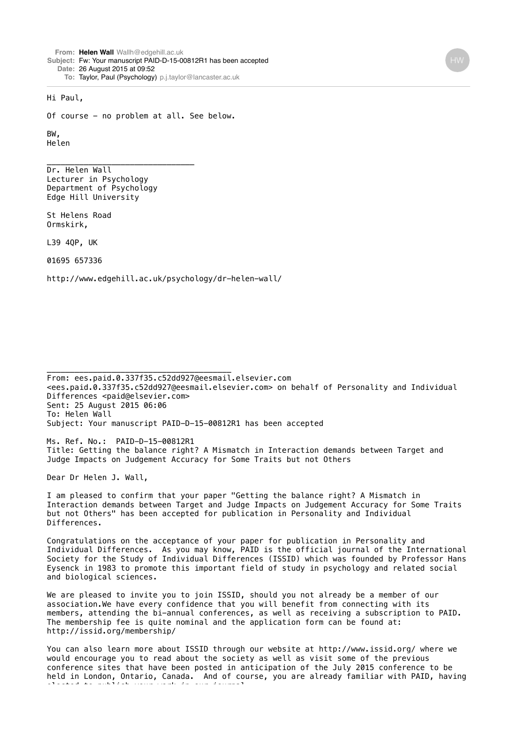**From: Helen [Wall](mailto:WallWallh@edgehill.ac.uk)** [Wallh@edgehill.ac.uk](mailto:WallWallh@edgehill.ac.uk) **Subject:** Fw: Your manuscript PAID-D-15-00812R1 has been accepted **Date:** 26 August 2015 at 09:52 **To:** Taylor, Paul (Psychology) [p.j.taylor@lancaster.ac.uk](mailto:p.j.taylor@lancaster.ac.uk)

## Hi Paul,

Of course - no problem at all. See below.

BW, Helen

Dr. Helen Wall Lecturer in Psychology Department of Psychology Edge Hill University

\_\_\_\_\_\_\_\_\_\_\_\_\_\_\_\_\_\_\_\_\_\_\_\_\_\_\_\_\_\_\_\_

St Helens Road Ormskirk,

L39 4QP, UK

01695 657336

http://www.edgehill.ac.uk/psychology/dr-helen-wall/

\_\_\_\_\_\_\_\_\_\_\_\_\_\_\_\_\_\_\_\_\_\_\_\_\_\_\_\_\_\_\_\_\_\_\_\_\_\_\_\_

From: ees.paid.0.337f35.c52dd927@eesmail.elsevier.com <ees.paid.0.337f35.c52dd927@eesmail.elsevier.com> on behalf of Personality and Individual Differences <paid@elsevier.com> Sent: 25 August 2015 06:06 To: Helen Wall Subject: Your manuscript PAID-D-15-00812R1 has been accepted

Ms. Ref. No.: PAID-D-15-00812R1 Title: Getting the balance right? A Mismatch in Interaction demands between Target and Judge Impacts on Judgement Accuracy for Some Traits but not Others

Dear Dr Helen J. Wall,

I am pleased to confirm that your paper "Getting the balance right? A Mismatch in Interaction demands between Target and Judge Impacts on Judgement Accuracy for Some Traits but not Others" has been accepted for publication in Personality and Individual Differences.

Congratulations on the acceptance of your paper for publication in Personality and Individual Differences. As you may know, PAID is the official journal of the International Society for the Study of Individual Differences (ISSID) which was founded by Professor Hans Eysenck in 1983 to promote this important field of study in psychology and related social and biological sciences.

We are pleased to invite you to join ISSID, should you not already be a member of our association.We have every confidence that you will benefit from connecting with its members, attending the bi-annual conferences, as well as receiving a subscription to PAID. The membership fee is quite nominal and the application form can be found at: http://issid.org/membership/

You can also learn more about ISSID through our website at http://www.issid.org/ where we would encourage you to read about the society as well as visit some of the previous conference sites that have been posted in anticipation of the July 2015 conference to be held in London, Ontario, Canada. And of course, you are already familiar with PAID, having elected to publish your work in our journal.